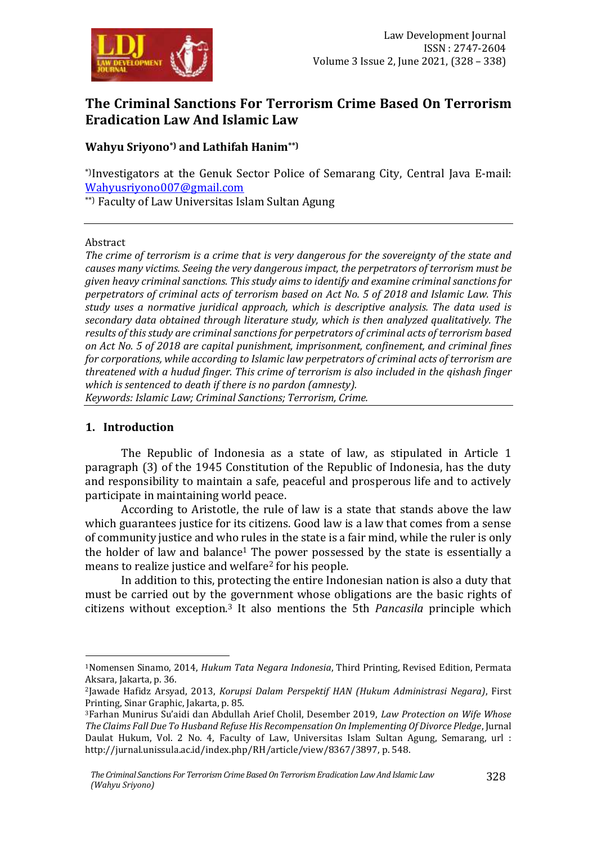

# **The Criminal Sanctions For Terrorism Crime Based On Terrorism Eradication Law And Islamic Law**

### **Wahyu Sriyono\*) and Lathifah Hanim\*\*)**

\*)Investigators at the Genuk Sector Police of Semarang City, Central Java E-mail: [Wahyusriyono007@gmail.com](mailto:Wahyusriyono007@gmail.com)

\*\*) Faculty of Law Universitas Islam Sultan Agung

#### Abstract

*The crime of terrorism is a crime that is very dangerous for the sovereignty of the state and causes many victims. Seeing the very dangerous impact, the perpetrators of terrorism must be given heavy criminal sanctions. This study aims to identify and examine criminal sanctions for perpetrators of criminal acts of terrorism based on Act No. 5 of 2018 and Islamic Law. This study uses a normative juridical approach, which is descriptive analysis. The data used is secondary data obtained through literature study, which is then analyzed qualitatively. The results of this study are criminal sanctions for perpetrators of criminal acts of terrorism based on Act No. 5 of 2018 are capital punishment, imprisonment, confinement, and criminal fines for corporations, while according to Islamic law perpetrators of criminal acts of terrorism are threatened with a hudud finger. This crime of terrorism is also included in the qishash finger which is sentenced to death if there is no pardon (amnesty).*

*Keywords: Islamic Law; Criminal Sanctions; Terrorism, Crime.*

#### **1. Introduction**

1

The Republic of Indonesia as a state of law, as stipulated in Article 1 paragraph (3) of the 1945 Constitution of the Republic of Indonesia, has the duty and responsibility to maintain a safe, peaceful and prosperous life and to actively participate in maintaining world peace.

According to Aristotle, the rule of law is a state that stands above the law which guarantees justice for its citizens. Good law is a law that comes from a sense of community justice and who rules in the state is a fair mind, while the ruler is only the holder of law and balance<sup>1</sup> The power possessed by the state is essentially a means to realize justice and welfare<sup>2</sup> for his people.

In addition to this, protecting the entire Indonesian nation is also a duty that must be carried out by the government whose obligations are the basic rights of citizens without exception.<sup>3</sup> It also mentions the 5th *Pancasila* principle which

<sup>1</sup>Nomensen Sinamo, 2014, *Hukum Tata Negara Indonesia*, Third Printing, Revised Edition, Permata Aksara, Jakarta, p. 36.

<sup>2</sup>Jawade Hafidz Arsyad, 2013, *Korupsi Dalam Perspektif HAN (Hukum Administrasi Negara)*, First Printing, Sinar Graphic, Jakarta, p. 85.

<sup>3</sup>Farhan Munirus Su'aidi dan Abdullah Arief Cholil, Desember 2019, *Law Protection on Wife Whose The Claims Fall Due To Husband Refuse His Recompensation On Implementing Of Divorce Pledge*, Jurnal Daulat Hukum, Vol. 2 No. 4, Faculty of Law, Universitas Islam Sultan Agung, Semarang, url : http://jurnal.unissula.ac.id/index.php/RH/article/view/8367/3897, p. 548.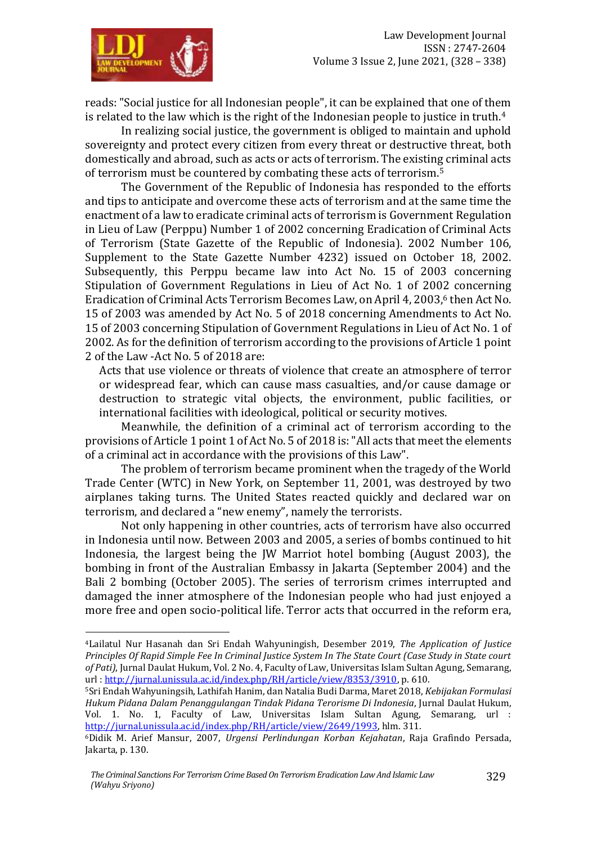

1

reads: "Social justice for all Indonesian people", it can be explained that one of them is related to the law which is the right of the Indonesian people to justice in truth.<sup>4</sup>

In realizing social justice, the government is obliged to maintain and uphold sovereignty and protect every citizen from every threat or destructive threat, both domestically and abroad, such as acts or acts of terrorism. The existing criminal acts of terrorism must be countered by combating these acts of terrorism.<sup>5</sup>

The Government of the Republic of Indonesia has responded to the efforts and tips to anticipate and overcome these acts of terrorism and at the same time the enactment of a law to eradicate criminal acts of terrorism is Government Regulation in Lieu of Law (Perppu) Number 1 of 2002 concerning Eradication of Criminal Acts of Terrorism (State Gazette of the Republic of Indonesia). 2002 Number 106, Supplement to the State Gazette Number 4232) issued on October 18, 2002. Subsequently, this Perppu became law into Act No. 15 of 2003 concerning Stipulation of Government Regulations in Lieu of Act No. 1 of 2002 concerning Eradication of Criminal Acts Terrorism Becomes Law, on April 4, 2003,<sup>6</sup> then Act No. 15 of 2003 was amended by Act No. 5 of 2018 concerning Amendments to Act No. 15 of 2003 concerning Stipulation of Government Regulations in Lieu of Act No. 1 of 2002. As for the definition of terrorism according to the provisions of Article 1 point 2 of the Law -Act No. 5 of 2018 are:

Acts that use violence or threats of violence that create an atmosphere of terror or widespread fear, which can cause mass casualties, and/or cause damage or destruction to strategic vital objects, the environment, public facilities, or international facilities with ideological, political or security motives.

Meanwhile, the definition of a criminal act of terrorism according to the provisions of Article 1 point 1 of Act No. 5 of 2018 is: "All acts that meet the elements of a criminal act in accordance with the provisions of this Law".

The problem of terrorism became prominent when the tragedy of the World Trade Center (WTC) in New York, on September 11, 2001, was destroyed by two airplanes taking turns. The United States reacted quickly and declared war on terrorism, and declared a "new enemy", namely the terrorists.

Not only happening in other countries, acts of terrorism have also occurred in Indonesia until now. Between 2003 and 2005, a series of bombs continued to hit Indonesia, the largest being the JW Marriot hotel bombing (August 2003), the bombing in front of the Australian Embassy in Jakarta (September 2004) and the Bali 2 bombing (October 2005). The series of terrorism crimes interrupted and damaged the inner atmosphere of the Indonesian people who had just enjoyed a more free and open socio-political life. Terror acts that occurred in the reform era,

<sup>4</sup>Lailatul Nur Hasanah dan Sri Endah Wahyuningish, Desember 2019, *The Application of Justice Principles Of Rapid Simple Fee In Criminal Justice System In The State Court (Case Study in State court of Pati)*, Jurnal Daulat Hukum, Vol. 2 No. 4, Faculty of Law, Universitas Islam Sultan Agung, Semarang, url [: http://jurnal.unissula.ac.id/index.php/RH/article/view/8353/3910,](http://jurnal.unissula.ac.id/index.php/RH/article/view/8353/3910) p. 610.

<sup>5</sup>Sri Endah Wahyuningsih, Lathifah Hanim, dan Natalia Budi Darma, Maret 2018, *Kebijakan Formulasi Hukum Pidana Dalam Penanggulangan Tindak Pidana Terorisme Di Indonesia*, Jurnal Daulat Hukum, Vol. 1. No. 1, Faculty of Law, Universitas Islam Sultan Agung, Semarang, url : [http://jurnal.unissula.ac.id/index.php/RH/article/view/2649/1993,](http://jurnal.unissula.ac.id/index.php/RH/article/view/2649/1993) hlm. 311.

<sup>6</sup>Didik M. Arief Mansur, 2007, *Urgensi Perlindungan Korban Kejahatan*, Raja Grafindo Persada, Jakarta, p. 130.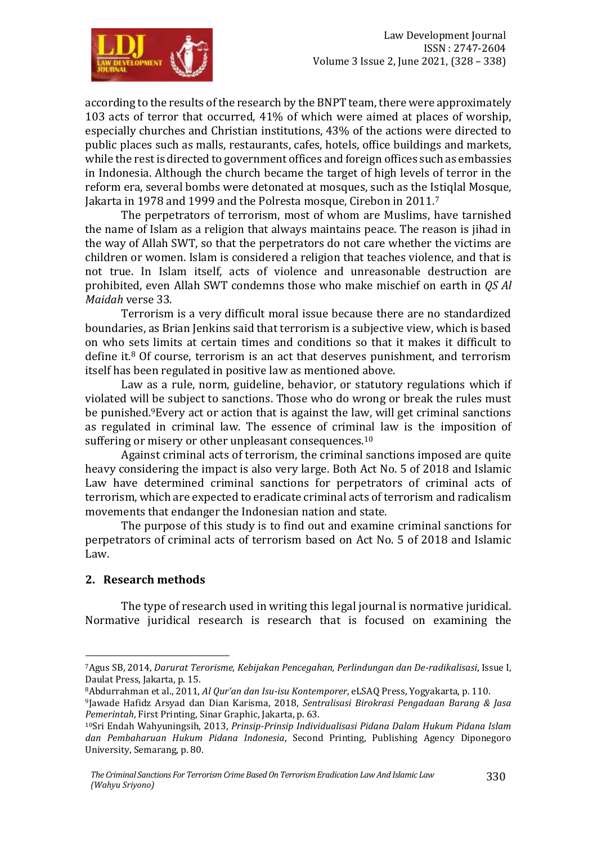

according to the results of the research by the BNPT team, there were approximately 103 acts of terror that occurred, 41% of which were aimed at places of worship, especially churches and Christian institutions, 43% of the actions were directed to public places such as malls, restaurants, cafes, hotels, office buildings and markets, while the rest is directed to government offices and foreign offices such as embassies in Indonesia. Although the church became the target of high levels of terror in the reform era, several bombs were detonated at mosques, such as the Istiqlal Mosque, Jakarta in 1978 and 1999 and the Polresta mosque, Cirebon in 2011.<sup>7</sup>

The perpetrators of terrorism, most of whom are Muslims, have tarnished the name of Islam as a religion that always maintains peace. The reason is jihad in the way of Allah SWT, so that the perpetrators do not care whether the victims are children or women. Islam is considered a religion that teaches violence, and that is not true. In Islam itself, acts of violence and unreasonable destruction are prohibited, even Allah SWT condemns those who make mischief on earth in *QS Al Maidah* verse 33.

Terrorism is a very difficult moral issue because there are no standardized boundaries, as Brian Jenkins said that terrorism is a subjective view, which is based on who sets limits at certain times and conditions so that it makes it difficult to define it.<sup>8</sup> Of course, terrorism is an act that deserves punishment, and terrorism itself has been regulated in positive law as mentioned above.

Law as a rule, norm, guideline, behavior, or statutory regulations which if violated will be subject to sanctions. Those who do wrong or break the rules must be punished.9Every act or action that is against the law, will get criminal sanctions as regulated in criminal law. The essence of criminal law is the imposition of suffering or misery or other unpleasant consequences.<sup>10</sup>

Against criminal acts of terrorism, the criminal sanctions imposed are quite heavy considering the impact is also very large. Both Act No. 5 of 2018 and Islamic Law have determined criminal sanctions for perpetrators of criminal acts of terrorism, which are expected to eradicate criminal acts of terrorism and radicalism movements that endanger the Indonesian nation and state.

The purpose of this study is to find out and examine criminal sanctions for perpetrators of criminal acts of terrorism based on Act No. 5 of 2018 and Islamic Law.

#### **2. Research methods**

1

The type of research used in writing this legal journal is normative juridical. Normative juridical research is research that is focused on examining the

<sup>8</sup>Abdurrahman et al., 2011, *Al Qur'an dan Isu-isu Kontemporer*, eLSAQ Press, Yogyakarta, p. 110.

<sup>7</sup>Agus SB, 2014, *Darurat Terorisme, Kebijakan Pencegahan, Perlindungan dan De-radikalisasi*, Issue I, Daulat Press, Jakarta, p. 15.

<sup>9</sup>Jawade Hafidz Arsyad dan Dian Karisma, 2018, *Sentralisasi Birokrasi Pengadaan Barang & Jasa Pemerintah*, First Printing, Sinar Graphic, Jakarta, p. 63.

<sup>10</sup>Sri Endah Wahyuningsih, 2013, *Prinsip-Prinsip Individualisasi Pidana Dalam Hukum Pidana Islam dan Pembaharuan Hukum Pidana Indonesia*, Second Printing, Publishing Agency Diponegoro University, Semarang, p. 80.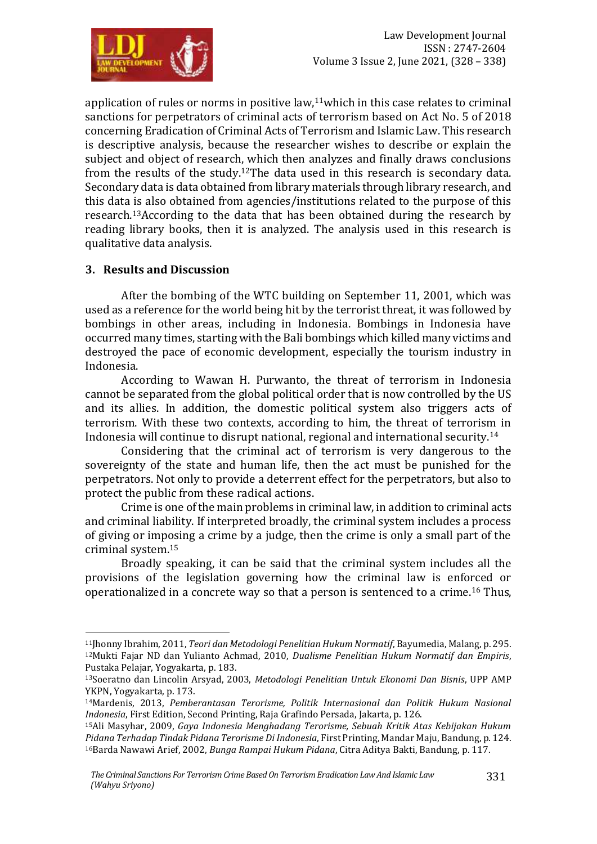

application of rules or norms in positive law, $11$ which in this case relates to criminal sanctions for perpetrators of criminal acts of terrorism based on Act No. 5 of 2018 concerning Eradication of Criminal Acts of Terrorism and Islamic Law. This research is descriptive analysis, because the researcher wishes to describe or explain the subject and object of research, which then analyzes and finally draws conclusions from the results of the study.12The data used in this research is secondary data. Secondary data is data obtained from library materials through library research, and this data is also obtained from agencies/institutions related to the purpose of this research.13According to the data that has been obtained during the research by reading library books, then it is analyzed. The analysis used in this research is qualitative data analysis.

#### **3. Results and Discussion**

1

After the bombing of the WTC building on September 11, 2001, which was used as a reference for the world being hit by the terrorist threat, it was followed by bombings in other areas, including in Indonesia. Bombings in Indonesia have occurred many times, starting with the Bali bombings which killed many victims and destroyed the pace of economic development, especially the tourism industry in Indonesia.

According to Wawan H. Purwanto, the threat of terrorism in Indonesia cannot be separated from the global political order that is now controlled by the US and its allies. In addition, the domestic political system also triggers acts of terrorism. With these two contexts, according to him, the threat of terrorism in Indonesia will continue to disrupt national, regional and international security.<sup>14</sup>

Considering that the criminal act of terrorism is very dangerous to the sovereignty of the state and human life, then the act must be punished for the perpetrators. Not only to provide a deterrent effect for the perpetrators, but also to protect the public from these radical actions.

Crime is one of the main problems in criminal law, in addition to criminal acts and criminal liability. If interpreted broadly, the criminal system includes a process of giving or imposing a crime by a judge, then the crime is only a small part of the criminal system.<sup>15</sup>

Broadly speaking, it can be said that the criminal system includes all the provisions of the legislation governing how the criminal law is enforced or operationalized in a concrete way so that a person is sentenced to a crime.<sup>16</sup> Thus,

<sup>11</sup>Jhonny Ibrahim, 2011, *Teori dan Metodologi Penelitian Hukum Normatif*, Bayumedia, Malang, p. 295. <sup>12</sup>Mukti Fajar ND dan Yulianto Achmad, 2010, *Dualisme Penelitian Hukum Normatif dan Empiris*, Pustaka Pelajar, Yogyakarta, p. 183.

<sup>13</sup>Soeratno dan Lincolin Arsyad, 2003, *Metodologi Penelitian Untuk Ekonomi Dan Bisnis*, UPP AMP YKPN, Yogyakarta, p. 173.

<sup>14</sup>Mardenis, 2013, *Pemberantasan Terorisme, Politik Internasional dan Politik Hukum Nasional Indonesia*, First Edition, Second Printing, Raja Grafindo Persada, Jakarta, p. 126.

<sup>15</sup>Ali Masyhar, 2009, *Gaya Indonesia Menghadang Terorisme, Sebuah Kritik Atas Kebijakan Hukum Pidana Terhadap Tindak Pidana Terorisme Di Indonesia*, First Printing, Mandar Maju, Bandung, p. 124. 16Barda Nawawi Arief, 2002, *Bunga Rampai Hukum Pidana*, Citra Aditya Bakti, Bandung, p. 117.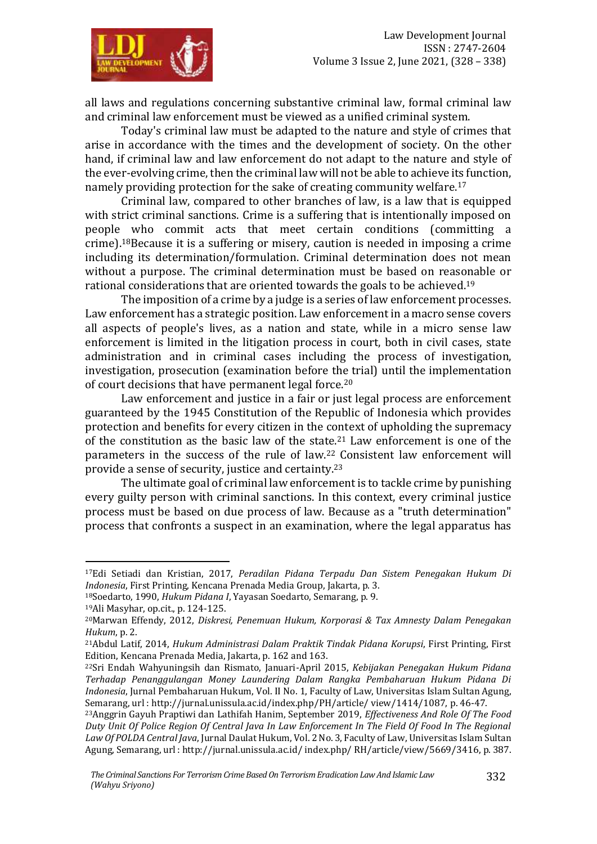

all laws and regulations concerning substantive criminal law, formal criminal law and criminal law enforcement must be viewed as a unified criminal system.

Today's criminal law must be adapted to the nature and style of crimes that arise in accordance with the times and the development of society. On the other hand, if criminal law and law enforcement do not adapt to the nature and style of the ever-evolving crime, then the criminal law will not be able to achieve its function, namely providing protection for the sake of creating community welfare.<sup>17</sup>

Criminal law, compared to other branches of law, is a law that is equipped with strict criminal sanctions. Crime is a suffering that is intentionally imposed on people who commit acts that meet certain conditions (committing a crime).18Because it is a suffering or misery, caution is needed in imposing a crime including its determination/formulation. Criminal determination does not mean without a purpose. The criminal determination must be based on reasonable or rational considerations that are oriented towards the goals to be achieved.<sup>19</sup>

The imposition of a crime by a judge is a series of law enforcement processes. Law enforcement has a strategic position. Law enforcement in a macro sense covers all aspects of people's lives, as a nation and state, while in a micro sense law enforcement is limited in the litigation process in court, both in civil cases, state administration and in criminal cases including the process of investigation, investigation, prosecution (examination before the trial) until the implementation of court decisions that have permanent legal force.<sup>20</sup>

Law enforcement and justice in a fair or just legal process are enforcement guaranteed by the 1945 Constitution of the Republic of Indonesia which provides protection and benefits for every citizen in the context of upholding the supremacy of the constitution as the basic law of the state.<sup>21</sup> Law enforcement is one of the parameters in the success of the rule of law.<sup>22</sup> Consistent law enforcement will provide a sense of security, justice and certainty.<sup>23</sup>

The ultimate goal of criminal law enforcement is to tackle crime by punishing every guilty person with criminal sanctions. In this context, every criminal justice process must be based on due process of law. Because as a "truth determination" process that confronts a suspect in an examination, where the legal apparatus has

<u>.</u>

<sup>17</sup>Edi Setiadi dan Kristian, 2017, *Peradilan Pidana Terpadu Dan Sistem Penegakan Hukum Di Indonesia*, First Printing, Kencana Prenada Media Group, Jakarta, p. 3.

<sup>18</sup>Soedarto, 1990, *Hukum Pidana I*, Yayasan Soedarto, Semarang, p. 9.

<sup>19</sup>Ali Masyhar, op.cit., p. 124-125.

<sup>20</sup>Marwan Effendy, 2012, *Diskresi, Penemuan Hukum, Korporasi & Tax Amnesty Dalam Penegakan Hukum*, p. 2.

<sup>21</sup>Abdul Latif, 2014, *Hukum Administrasi Dalam Praktik Tindak Pidana Korupsi*, First Printing, First Edition, Kencana Prenada Media, Jakarta, p. 162 and 163.

<sup>22</sup>Sri Endah Wahyuningsih dan Rismato, Januari-April 2015, *Kebijakan Penegakan Hukum Pidana Terhadap Penanggulangan Money Laundering Dalam Rangka Pembaharuan Hukum Pidana Di Indonesia*, Jurnal Pembaharuan Hukum, Vol. II No. 1, Faculty of Law, Universitas Islam Sultan Agung, Semarang, url : http://jurnal.unissula.ac.id/index.php/PH/article/ view/1414/1087, p. 46-47.

<sup>23</sup>Anggrin Gayuh Praptiwi dan Lathifah Hanim, September 2019, *Effectiveness And Role Of The Food Duty Unit Of Police Region Of Central Java In Law Enforcement In The Field Of Food In The Regional Law Of POLDA Central Java*, Jurnal Daulat Hukum, Vol. 2 No. 3, Faculty of Law, Universitas Islam Sultan Agung, Semarang, url : http://jurnal.unissula.ac.id/ index.php/ RH/article/view/5669/3416, p. 387.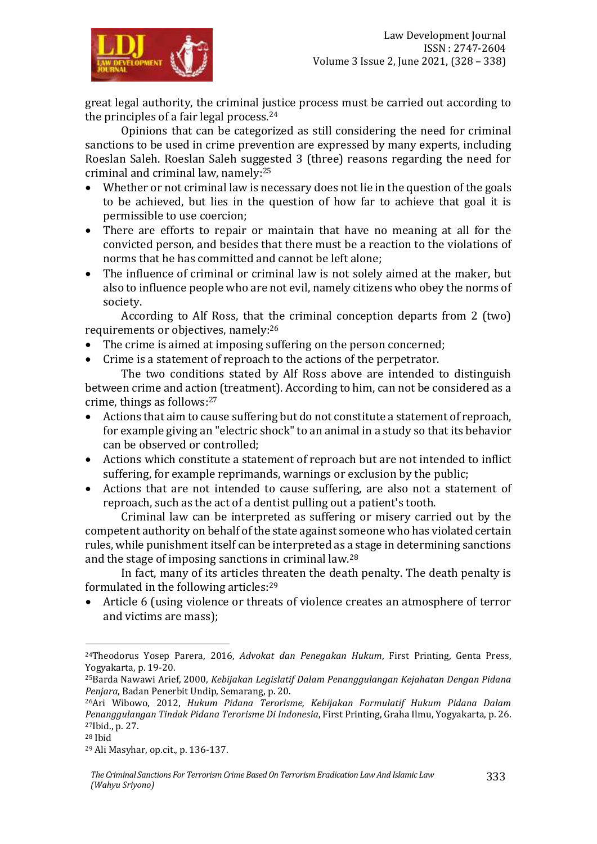

great legal authority, the criminal justice process must be carried out according to the principles of a fair legal process.<sup>24</sup>

Opinions that can be categorized as still considering the need for criminal sanctions to be used in crime prevention are expressed by many experts, including Roeslan Saleh. Roeslan Saleh suggested 3 (three) reasons regarding the need for criminal and criminal law, namely:<sup>25</sup>

- Whether or not criminal law is necessary does not lie in the question of the goals to be achieved, but lies in the question of how far to achieve that goal it is permissible to use coercion;
- There are efforts to repair or maintain that have no meaning at all for the convicted person, and besides that there must be a reaction to the violations of norms that he has committed and cannot be left alone;
- The influence of criminal or criminal law is not solely aimed at the maker, but also to influence people who are not evil, namely citizens who obey the norms of society.

According to Alf Ross, that the criminal conception departs from 2 (two) requirements or objectives, namely:<sup>26</sup>

- The crime is aimed at imposing suffering on the person concerned;
- Crime is a statement of reproach to the actions of the perpetrator.

The two conditions stated by Alf Ross above are intended to distinguish between crime and action (treatment). According to him, can not be considered as a crime, things as follows:<sup>27</sup>

- Actions that aim to cause suffering but do not constitute a statement of reproach, for example giving an "electric shock" to an animal in a study so that its behavior can be observed or controlled;
- Actions which constitute a statement of reproach but are not intended to inflict suffering, for example reprimands, warnings or exclusion by the public;
- Actions that are not intended to cause suffering, are also not a statement of reproach, such as the act of a dentist pulling out a patient's tooth.

Criminal law can be interpreted as suffering or misery carried out by the competent authority on behalf of the state against someone who has violated certain rules, while punishment itself can be interpreted as a stage in determining sanctions and the stage of imposing sanctions in criminal law.<sup>28</sup>

In fact, many of its articles threaten the death penalty. The death penalty is formulated in the following articles:<sup>29</sup>

 Article 6 (using violence or threats of violence creates an atmosphere of terror and victims are mass);

<u>.</u>

<sup>24</sup>Theodorus Yosep Parera, 2016, *Advokat dan Penegakan Hukum*, First Printing, Genta Press, Yogyakarta, p. 19-20.

<sup>25</sup>Barda Nawawi Arief, 2000, *Kebijakan Legislatif Dalam Penanggulangan Kejahatan Dengan Pidana Penjara*, Badan Penerbit Undip, Semarang, p. 20.

<sup>26</sup>Ari Wibowo, 2012, *Hukum Pidana Terorisme, Kebijakan Formulatif Hukum Pidana Dalam Penanggulangan Tindak Pidana Terorisme Di Indonesia*, First Printing, Graha Ilmu, Yogyakarta, p. 26. <sup>27</sup>Ibid., p. 27.

<sup>28</sup> Ibid

<sup>29</sup> Ali Masyhar, op.cit., p. 136-137.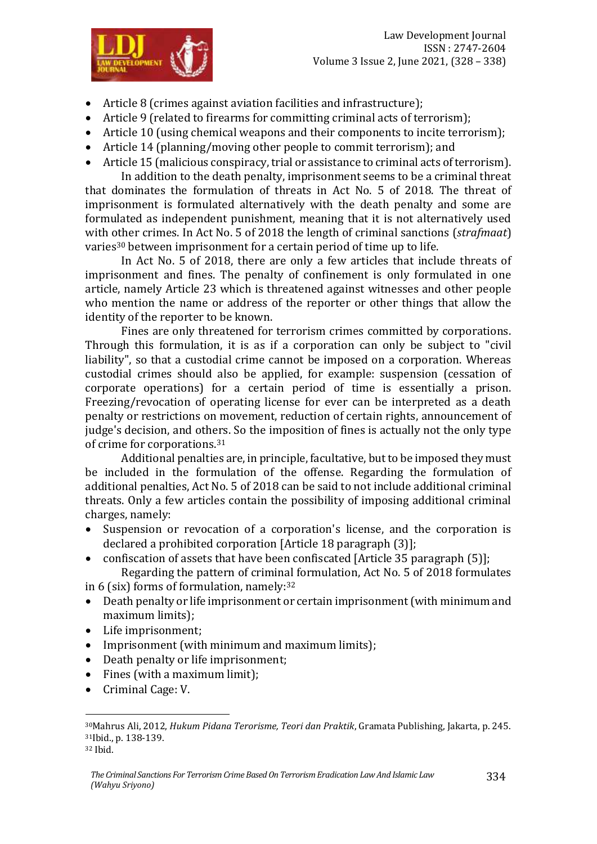

- Article 8 (crimes against aviation facilities and infrastructure);
- Article 9 (related to firearms for committing criminal acts of terrorism);
- Article 10 (using chemical weapons and their components to incite terrorism);
- Article 14 (planning/moving other people to commit terrorism); and
- Article 15 (malicious conspiracy, trial or assistance to criminal acts of terrorism).

In addition to the death penalty, imprisonment seems to be a criminal threat that dominates the formulation of threats in Act No. 5 of 2018. The threat of imprisonment is formulated alternatively with the death penalty and some are formulated as independent punishment, meaning that it is not alternatively used with other crimes. In Act No. 5 of 2018 the length of criminal sanctions (*strafmaat*) varies<sup>30</sup> between imprisonment for a certain period of time up to life.

In Act No. 5 of 2018, there are only a few articles that include threats of imprisonment and fines. The penalty of confinement is only formulated in one article, namely Article 23 which is threatened against witnesses and other people who mention the name or address of the reporter or other things that allow the identity of the reporter to be known.

Fines are only threatened for terrorism crimes committed by corporations. Through this formulation, it is as if a corporation can only be subject to "civil liability", so that a custodial crime cannot be imposed on a corporation. Whereas custodial crimes should also be applied, for example: suspension (cessation of corporate operations) for a certain period of time is essentially a prison. Freezing/revocation of operating license for ever can be interpreted as a death penalty or restrictions on movement, reduction of certain rights, announcement of judge's decision, and others. So the imposition of fines is actually not the only type of crime for corporations.<sup>31</sup>

Additional penalties are, in principle, facultative, but to be imposed they must be included in the formulation of the offense. Regarding the formulation of additional penalties, Act No. 5 of 2018 can be said to not include additional criminal threats. Only a few articles contain the possibility of imposing additional criminal charges, namely:

- Suspension or revocation of a corporation's license, and the corporation is declared a prohibited corporation [Article 18 paragraph (3)];
- confiscation of assets that have been confiscated [Article 35 paragraph (5)];

Regarding the pattern of criminal formulation, Act No. 5 of 2018 formulates in 6 (six) forms of formulation, namely:<sup>32</sup>

- Death penalty or life imprisonment or certain imprisonment (with minimum and maximum limits);
- Life imprisonment;
- Imprisonment (with minimum and maximum limits);
- Death penalty or life imprisonment;
- Fines (with a maximum limit);
- Criminal Cage: V.

1

<sup>30</sup>Mahrus Ali, 2012, *Hukum Pidana Terorisme, Teori dan Praktik*, Gramata Publishing, Jakarta, p. 245. <sup>31</sup>Ibid., p. 138-139.

<sup>32</sup> Ibid.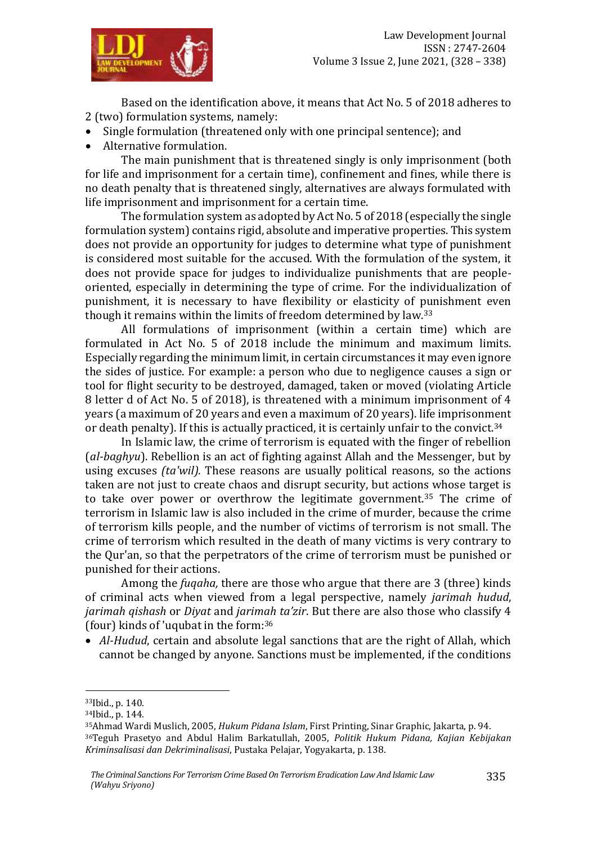

Based on the identification above, it means that Act No. 5 of 2018 adheres to 2 (two) formulation systems, namely:

- Single formulation (threatened only with one principal sentence); and
- Alternative formulation.

The main punishment that is threatened singly is only imprisonment (both for life and imprisonment for a certain time), confinement and fines, while there is no death penalty that is threatened singly, alternatives are always formulated with life imprisonment and imprisonment for a certain time.

The formulation system as adopted by Act No. 5 of 2018 (especially the single formulation system) contains rigid, absolute and imperative properties. This system does not provide an opportunity for judges to determine what type of punishment is considered most suitable for the accused. With the formulation of the system, it does not provide space for judges to individualize punishments that are peopleoriented, especially in determining the type of crime. For the individualization of punishment, it is necessary to have flexibility or elasticity of punishment even though it remains within the limits of freedom determined by law.<sup>33</sup>

All formulations of imprisonment (within a certain time) which are formulated in Act No. 5 of 2018 include the minimum and maximum limits. Especially regarding the minimum limit, in certain circumstances it may even ignore the sides of justice. For example: a person who due to negligence causes a sign or tool for flight security to be destroyed, damaged, taken or moved (violating Article 8 letter d of Act No. 5 of 2018), is threatened with a minimum imprisonment of 4 years (a maximum of 20 years and even a maximum of 20 years). life imprisonment or death penalty). If this is actually practiced, it is certainly unfair to the convict.<sup>34</sup>

In Islamic law, the crime of terrorism is equated with the finger of rebellion (*al-baghyu*). Rebellion is an act of fighting against Allah and the Messenger, but by using excuses *(ta'wil).* These reasons are usually political reasons, so the actions taken are not just to create chaos and disrupt security, but actions whose target is to take over power or overthrow the legitimate government.<sup>35</sup> The crime of terrorism in Islamic law is also included in the crime of murder, because the crime of terrorism kills people, and the number of victims of terrorism is not small. The crime of terrorism which resulted in the death of many victims is very contrary to the Qur'an, so that the perpetrators of the crime of terrorism must be punished or punished for their actions.

Among the *fuqaha,* there are those who argue that there are 3 (three) kinds of criminal acts when viewed from a legal perspective, namely *jarimah hudud*, *jarimah qishash* or *Diyat* and *jarimah ta'zir*. But there are also those who classify 4 (four) kinds of 'uqubat in the form:<sup>36</sup>

 *Al-Hudud*, certain and absolute legal sanctions that are the right of Allah, which cannot be changed by anyone. Sanctions must be implemented, if the conditions

1

<sup>33</sup>Ibid., p. 140.

<sup>34</sup>Ibid., p. 144.

<sup>35</sup>Ahmad Wardi Muslich, 2005, *Hukum Pidana Islam*, First Printing, Sinar Graphic, Jakarta, p. 94. <sup>36</sup>Teguh Prasetyo and Abdul Halim Barkatullah, 2005, *Politik Hukum Pidana, Kajian Kebijakan Kriminsalisasi dan Dekriminalisasi*, Pustaka Pelajar, Yogyakarta, p. 138.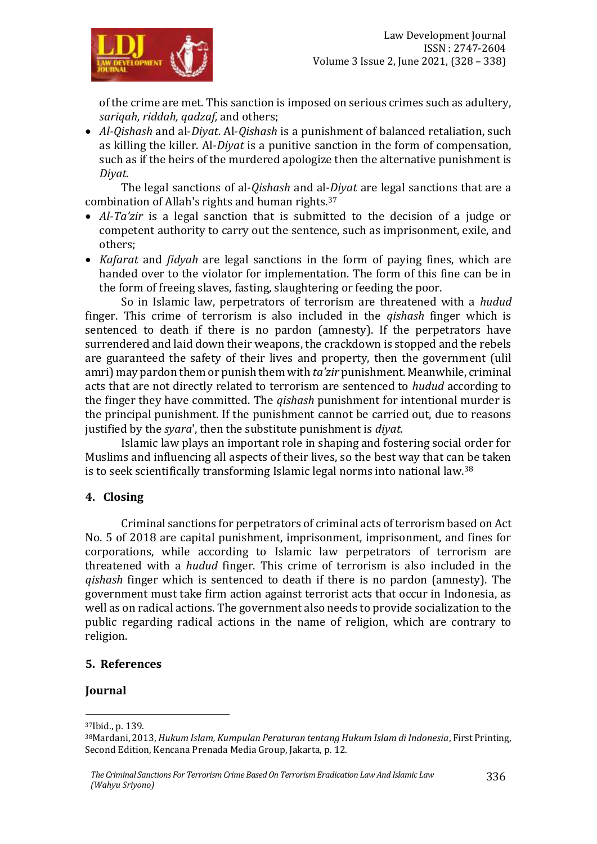of the crime are met. This sanction is imposed on serious crimes such as adultery, *sariqah, riddah, qadzaf,* and others;

 *Al-Qishash* and al-*Diyat*. Al-*Qishash* is a punishment of balanced retaliation, such as killing the killer. Al-*Diyat* is a punitive sanction in the form of compensation, such as if the heirs of the murdered apologize then the alternative punishment is *Diyat*.

The legal sanctions of al-*Qishash* and al-*Diyat* are legal sanctions that are a combination of Allah's rights and human rights.<sup>37</sup>

- *Al-Ta'zir* is a legal sanction that is submitted to the decision of a judge or competent authority to carry out the sentence, such as imprisonment, exile, and others;
- *Kafarat* and *fidyah* are legal sanctions in the form of paying fines, which are handed over to the violator for implementation. The form of this fine can be in the form of freeing slaves, fasting, slaughtering or feeding the poor.

So in Islamic law, perpetrators of terrorism are threatened with a *hudud* finger. This crime of terrorism is also included in the *qishash* finger which is sentenced to death if there is no pardon (amnesty). If the perpetrators have surrendered and laid down their weapons, the crackdown is stopped and the rebels are guaranteed the safety of their lives and property, then the government (ulil amri) may pardon them or punish them with *ta'zir* punishment. Meanwhile, criminal acts that are not directly related to terrorism are sentenced to *hudud* according to the finger they have committed. The *qishash* punishment for intentional murder is the principal punishment. If the punishment cannot be carried out, due to reasons justified by the *syara*', then the substitute punishment is *diyat.*

Islamic law plays an important role in shaping and fostering social order for Muslims and influencing all aspects of their lives, so the best way that can be taken is to seek scientifically transforming Islamic legal norms into national law.<sup>38</sup>

## **4. Closing**

Criminal sanctions for perpetrators of criminal acts of terrorism based on Act No. 5 of 2018 are capital punishment, imprisonment, imprisonment, and fines for corporations, while according to Islamic law perpetrators of terrorism are threatened with a *hudud* finger. This crime of terrorism is also included in the *qishash* finger which is sentenced to death if there is no pardon (amnesty). The government must take firm action against terrorist acts that occur in Indonesia, as well as on radical actions. The government also needs to provide socialization to the public regarding radical actions in the name of religion, which are contrary to religion.

#### **5. References**

#### **Journal**

1

<sup>37</sup>Ibid., p. 139.

<sup>38</sup>Mardani, 2013, *Hukum Islam, Kumpulan Peraturan tentang Hukum Islam di Indonesia*, First Printing, Second Edition, Kencana Prenada Media Group, Jakarta, p. 12.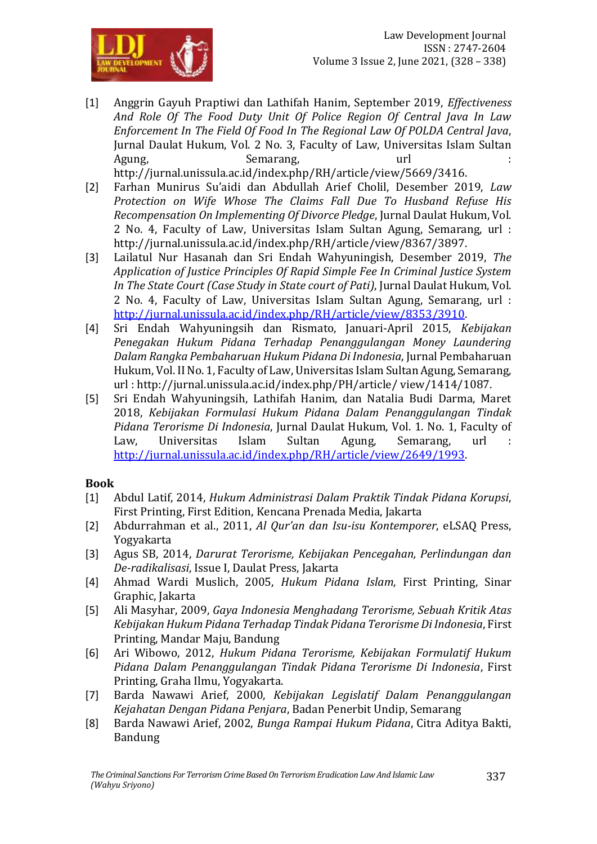

- [1] Anggrin Gayuh Praptiwi dan Lathifah Hanim, September 2019, *Effectiveness And Role Of The Food Duty Unit Of Police Region Of Central Java In Law Enforcement In The Field Of Food In The Regional Law Of POLDA Central Java*, Jurnal Daulat Hukum, Vol. 2 No. 3, Faculty of Law, Universitas Islam Sultan Agung, Semarang, Url 3. Semarang, Semarang, Semarang, Semarang, Semarang, Semarang, Semarang, Semarang, Semarang, Semarang, Semarang, Semarang, Semarang, Semarang, Semarang, Semarang, Semarang, Semarang, Semarang, Semarang http://jurnal.unissula.ac.id/index.php/RH/article/view/5669/3416.
- [2] Farhan Munirus Su'aidi dan Abdullah Arief Cholil, Desember 2019, *Law Protection on Wife Whose The Claims Fall Due To Husband Refuse His Recompensation On Implementing Of Divorce Pledge*, Jurnal Daulat Hukum, Vol. 2 No. 4, Faculty of Law, Universitas Islam Sultan Agung, Semarang, url : http://jurnal.unissula.ac.id/index.php/RH/article/view/8367/3897.
- [3] Lailatul Nur Hasanah dan Sri Endah Wahyuningish, Desember 2019, *The Application of Justice Principles Of Rapid Simple Fee In Criminal Justice System In The State Court (Case Study in State court of Pati)*, Jurnal Daulat Hukum, Vol. 2 No. 4, Faculty of Law, Universitas Islam Sultan Agung, Semarang, url : [http://jurnal.unissula.ac.id/index.php/RH/article/view/8353/3910.](http://jurnal.unissula.ac.id/index.php/RH/article/view/8353/3910)
- [4] Sri Endah Wahyuningsih dan Rismato, Januari-April 2015, *Kebijakan Penegakan Hukum Pidana Terhadap Penanggulangan Money Laundering Dalam Rangka Pembaharuan Hukum Pidana Di Indonesia*, Jurnal Pembaharuan Hukum, Vol. II No. 1, Faculty of Law, Universitas Islam Sultan Agung, Semarang, url : http://jurnal.unissula.ac.id/index.php/PH/article/ view/1414/1087.
- [5] Sri Endah Wahyuningsih, Lathifah Hanim, dan Natalia Budi Darma, Maret 2018, *Kebijakan Formulasi Hukum Pidana Dalam Penanggulangan Tindak Pidana Terorisme Di Indonesia*, Jurnal Daulat Hukum, Vol. 1. No. 1, Faculty of Law, Universitas Islam Sultan Agung, Semarang, url [http://jurnal.unissula.ac.id/index.php/RH/article/view/2649/1993.](http://jurnal.unissula.ac.id/index.php/RH/article/view/2649/1993)

#### **Book**

- [1] Abdul Latif, 2014, *Hukum Administrasi Dalam Praktik Tindak Pidana Korupsi*, First Printing, First Edition, Kencana Prenada Media, Jakarta
- [2] Abdurrahman et al., 2011, *Al Qur'an dan Isu-isu Kontemporer*, eLSAQ Press, Yogyakarta
- [3] Agus SB, 2014, *Darurat Terorisme, Kebijakan Pencegahan, Perlindungan dan De-radikalisasi*, Issue I, Daulat Press, Jakarta
- [4] Ahmad Wardi Muslich, 2005, *Hukum Pidana Islam*, First Printing, Sinar Graphic, Jakarta
- [5] Ali Masyhar, 2009, *Gaya Indonesia Menghadang Terorisme, Sebuah Kritik Atas Kebijakan Hukum Pidana Terhadap Tindak Pidana Terorisme Di Indonesia*, First Printing, Mandar Maju, Bandung
- [6] Ari Wibowo, 2012, *Hukum Pidana Terorisme, Kebijakan Formulatif Hukum Pidana Dalam Penanggulangan Tindak Pidana Terorisme Di Indonesia*, First Printing, Graha Ilmu, Yogyakarta.
- [7] Barda Nawawi Arief, 2000, *Kebijakan Legislatif Dalam Penanggulangan Kejahatan Dengan Pidana Penjara*, Badan Penerbit Undip, Semarang
- [8] Barda Nawawi Arief, 2002, *Bunga Rampai Hukum Pidana*, Citra Aditya Bakti, Bandung